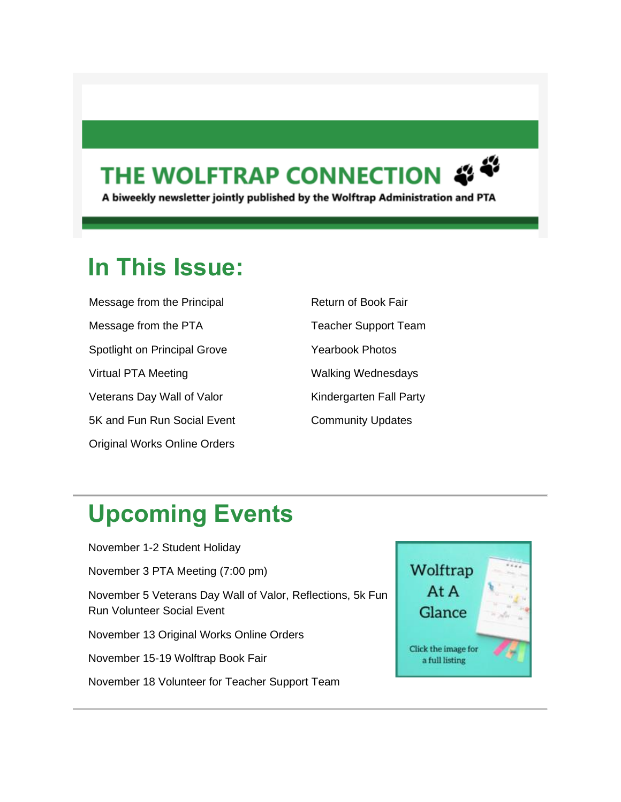### THE WOLFTRAP CONNECTION



A biweekly newsletter jointly published by the Wolftrap Administration and PTA

### **In This Issue:**

| Message from the Principal          |
|-------------------------------------|
| Message from the PTA                |
| Spotlight on Principal Grove        |
| Virtual PTA Meeting                 |
| Veterans Day Wall of Valor          |
| 5K and Fun Run Social Event         |
| <b>Original Works Online Orders</b> |

| <b>Return of Book Fair</b>  |
|-----------------------------|
| <b>Teacher Support Team</b> |
| Yearbook Photos             |
| <b>Walking Wednesdays</b>   |
| Kindergarten Fall Party     |
| <b>Community Updates</b>    |
|                             |

### **Upcoming Events**

November 1-2 Student Holiday November 3 PTA Meeting (7:00 pm) November 5 Veterans Day Wall of Valor, Reflections, 5k Fun Run Volunteer Social Event November 13 Original Works Online Orders November 15-19 Wolftrap Book Fair November 18 Volunteer for Teacher Support Team

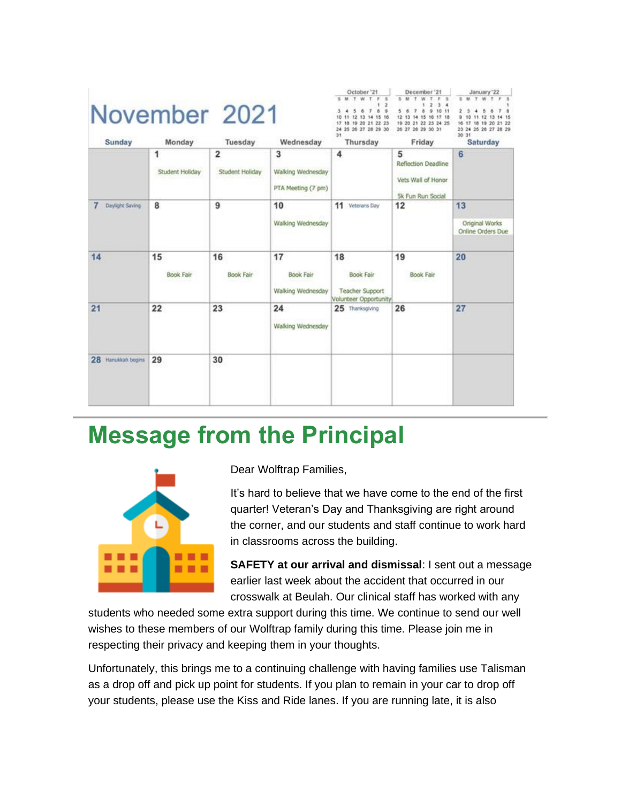| Sunday             | Monday                 | November 2021<br>Tuesday          | Wednesday                                    | October <sup>121</sup><br>SMTWTF<br>s<br>1<br>789<br>5<br>$\ddot{\phantom{a}}$<br>10 11 12 13 14 15 16<br>17 18 19 20 21 22 23<br>24 25 26 27 28 29 30<br>31<br>Thursday | December '21<br>W.T.<br>5. M.7<br>$\mathbf{z}$<br>$3 - 4$<br>7 8 9 10 11<br>5.6<br>12 13 14 15 16 17 18<br>19 20 21 22 23 24 25<br>26 27 28 29 30 31<br>Friday | January 22<br>SMTWT<br>в<br>9<br>11 12 13 14 15<br>10<br>16 17 18 19 20 21 22<br>23 24 25 26 27 28 29<br>30 31<br>Saturday |
|--------------------|------------------------|-----------------------------------|----------------------------------------------|--------------------------------------------------------------------------------------------------------------------------------------------------------------------------|----------------------------------------------------------------------------------------------------------------------------------------------------------------|----------------------------------------------------------------------------------------------------------------------------|
|                    | 1<br>Student Holiday   | $\overline{2}$<br>Student Holiday | 3<br>Walking Wednesday<br>PTA Meeting (7 pm) | 4                                                                                                                                                                        | 5<br>Reflection Deadline<br>Vets Wall of Honor<br><b>5k Fun Run Social</b>                                                                                     | 6                                                                                                                          |
| Daylight Saving    | 8                      | 9                                 | 10<br>Walking Wednesday                      | 11 Veterans Day                                                                                                                                                          | 12                                                                                                                                                             | 13<br>Original Works<br>Online Orders Due                                                                                  |
| 14                 | 15<br><b>Book Fair</b> | 16<br><b>Book Fair</b>            | 17<br>Book Fair<br>Walking Wednesday         | 18<br><b>Book Fair</b><br><b>Teacher Support</b><br>Volunteer Opportunity                                                                                                | 19<br><b>Book Fair</b>                                                                                                                                         | 20                                                                                                                         |
| 21                 | 22                     | 23                                | 24<br>Walking Wednesday                      | 25 Thanksgiving                                                                                                                                                          | 26                                                                                                                                                             | 27                                                                                                                         |
| 28 Hanukkah begins | 29                     | 30                                |                                              |                                                                                                                                                                          |                                                                                                                                                                |                                                                                                                            |

### **Message from the Principal**



Dear Wolftrap Families,

It's hard to believe that we have come to the end of the first quarter! Veteran's Day and Thanksgiving are right around the corner, and our students and staff continue to work hard in classrooms across the building.

**SAFETY at our arrival and dismissal**: I sent out a message earlier last week about the accident that occurred in our crosswalk at Beulah. Our clinical staff has worked with any

students who needed some extra support during this time. We continue to send our well wishes to these members of our Wolftrap family during this time. Please join me in respecting their privacy and keeping them in your thoughts.

Unfortunately, this brings me to a continuing challenge with having families use Talisman as a drop off and pick up point for students. If you plan to remain in your car to drop off your students, please use the Kiss and Ride lanes. If you are running late, it is also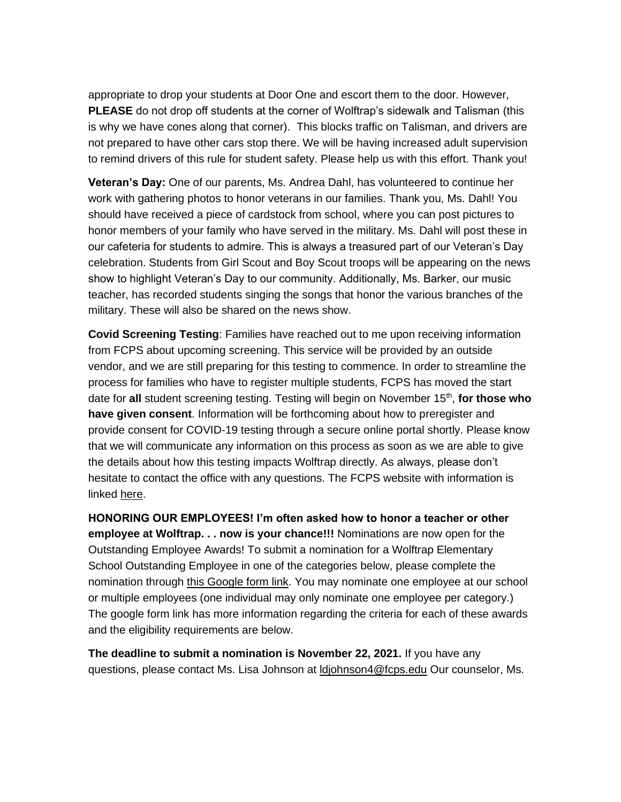appropriate to drop your students at Door One and escort them to the door. However, **PLEASE** do not drop off students at the corner of Wolftrap's sidewalk and Talisman (this is why we have cones along that corner). This blocks traffic on Talisman, and drivers are not prepared to have other cars stop there. We will be having increased adult supervision to remind drivers of this rule for student safety. Please help us with this effort. Thank you!

**Veteran's Day:** One of our parents, Ms. Andrea Dahl, has volunteered to continue her work with gathering photos to honor veterans in our families. Thank you, Ms. Dahl! You should have received a piece of cardstock from school, where you can post pictures to honor members of your family who have served in the military. Ms. Dahl will post these in our cafeteria for students to admire. This is always a treasured part of our Veteran's Day celebration. Students from Girl Scout and Boy Scout troops will be appearing on the news show to highlight Veteran's Day to our community. Additionally, Ms. Barker, our music teacher, has recorded students singing the songs that honor the various branches of the military. These will also be shared on the news show.

**Covid Screening Testing**: Families have reached out to me upon receiving information from FCPS about upcoming screening. This service will be provided by an outside vendor, and we are still preparing for this testing to commence. In order to streamline the process for families who have to register multiple students, FCPS has moved the start date for all student screening testing. Testing will begin on November 15<sup>th</sup>, for those who **have given consent**. Information will be forthcoming about how to preregister and provide consent for COVID-19 testing through a secure online portal shortly. Please know that we will communicate any information on this process as soon as we are able to give the details about how this testing impacts Wolftrap directly. As always, please don't hesitate to contact the office with any questions. The FCPS website with information is linked [here.](https://lnks.gd/l/eyJhbGciOiJIUzI1NiJ9.eyJidWxsZXRpbl9saW5rX2lkIjoxMDAsInVyaSI6ImJwMjpjbGljayIsImJ1bGxldGluX2lkIjoiMjAyMTExMDMuNDgzMTQ4OTEiLCJ1cmwiOiJodHRwczovL3d3dy5mY3BzLmVkdS9yZXR1cm4tc2Nob29sL3JldHVybi1zY2hvb2wtc2FmZXR5L3JldHVybi1zY2hvb2wtY292aWQtMTktdGVzdGluZz91dG1fY29udGVudD0mdXRtX21lZGl1bT1lbWFpbCZ1dG1fbmFtZT0mdXRtX3NvdXJjZT1nb3ZkZWxpdmVyeSZ1dG1fdGVybT0ifQ.t7JitNGMArXEXyOxg72Y8flLFz9LtIakOQC0S2T33Rk/s/858222285/br/116983413909-l)

**HONORING OUR EMPLOYEES! I'm often asked how to honor a teacher or other employee at Wolftrap. . . now is your chance!!!** Nominations are now open for the Outstanding Employee Awards! To submit a nomination for a Wolftrap Elementary School Outstanding Employee in one of the categories below, please complete the nomination through [this Google form link.](https://lnks.gd/l/eyJhbGciOiJIUzI1NiJ9.eyJidWxsZXRpbl9saW5rX2lkIjoxMDEsInVyaSI6ImJwMjpjbGljayIsImJ1bGxldGluX2lkIjoiMjAyMTExMDMuNDgzMTQ4OTEiLCJ1cmwiOiJodHRwczovL2RvY3MuZ29vZ2xlLmNvbS9mb3Jtcy9kL2UvMUZBSXBRTFNlUU9nUmpNazJqSElWQmJ6LTNfdjU5TWc0Umplbl9NOHFyWHFvVG1OVTEwVHo1MUEvdmlld2Zvcm0_dXRtX2NvbnRlbnQ9JnV0bV9tZWRpdW09ZW1haWwmdXRtX25hbWU9JnV0bV9zb3VyY2U9Z292ZGVsaXZlcnkmdXRtX3Rlcm09In0.b4lplMqXsTntxCUluS8bkil6amv1mB1tBnsimFzNz5k/s/858222285/br/116983413909-l) You may nominate one employee at our school or multiple employees (one individual may only nominate one employee per category.) The google form link has more information regarding the criteria for each of these awards and the eligibility requirements are below.

**The deadline to submit a nomination is November 22, 2021.** If you have any questions, please contact Ms. Lisa Johnson at [ldjohnson4@fcps.edu](mailto:ldjohnson4@fcps.edu) Our counselor, Ms.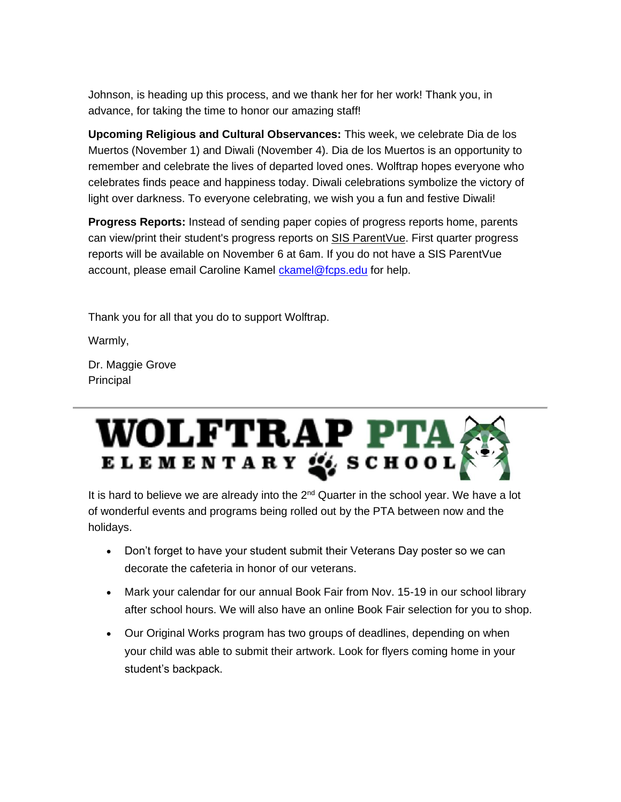Johnson, is heading up this process, and we thank her for her work! Thank you, in advance, for taking the time to honor our amazing staff!

**Upcoming Religious and Cultural Observances:** This week, we celebrate Dia de los Muertos (November 1) and Diwali (November 4). Dia de los Muertos is an opportunity to remember and celebrate the lives of departed loved ones. Wolftrap hopes everyone who celebrates finds peace and happiness today. Diwali celebrations symbolize the victory of light over darkness. To everyone celebrating, we wish you a fun and festive Diwali!

**Progress Reports:** Instead of sending paper copies of progress reports home, parents can view/print their student's progress reports on **SIS ParentVue**. First quarter progress reports will be available on November 6 at 6am. If you do not have a SIS ParentVue account, please email Caroline Kamel [ckamel@fcps.edu](mailto:ckamel@fcps.edu) for help.

Thank you for all that you do to support Wolftrap.

Warmly,

Dr. Maggie Grove Principal

# WOLFTRAP PTA

It is hard to believe we are already into the  $2<sup>nd</sup>$  Quarter in the school year. We have a lot of wonderful events and programs being rolled out by the PTA between now and the holidays.

- Don't forget to have your student submit their Veterans Day poster so we can decorate the cafeteria in honor of our veterans.
- Mark your calendar for our annual Book Fair from Nov. 15-19 in our school library after school hours. We will also have an online Book Fair selection for you to shop.
- Our Original Works program has two groups of deadlines, depending on when your child was able to submit their artwork. Look for flyers coming home in your student's backpack.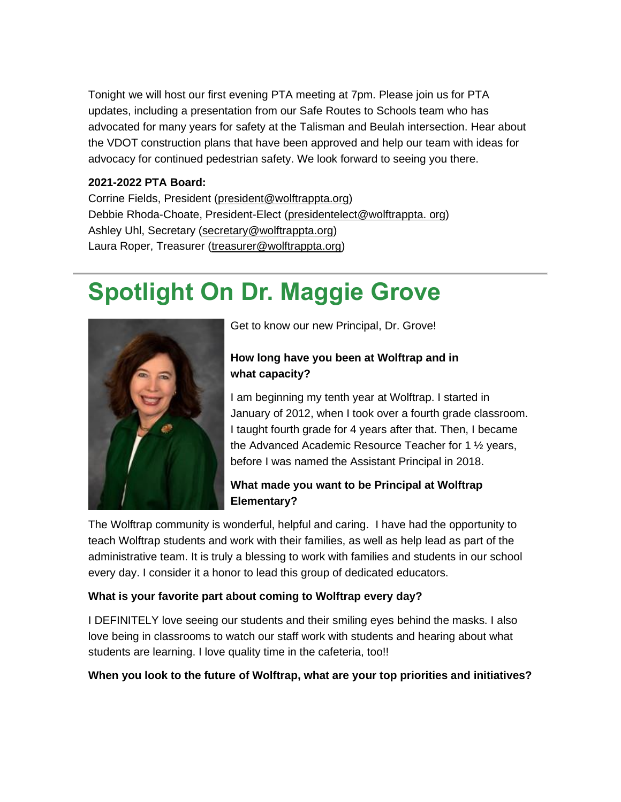Tonight we will host our first evening PTA meeting at 7pm. Please join us for PTA updates, including a presentation from our Safe Routes to Schools team who has advocated for many years for safety at the Talisman and Beulah intersection. Hear about the VDOT construction plans that have been approved and help our team with ideas for advocacy for continued pedestrian safety. We look forward to seeing you there.

#### **2021-2022 PTA Board:**

Corrine Fields, President [\(president@wolftrappta.org\)](mailto:president@wolftrappta.org) Debbie Rhoda-Choate, President-Elect [\(presidentelect@wolftrappta. org\)](mailto:presidentelect@wolftrappta.org) Ashley Uhl, Secretary [\(secretary@wolftrappta.org\)](mailto:secretary@wolftrappta.org) Laura Roper, Treasurer [\(treasurer@wolftrappta.org\)](mailto:treasurer@wolftrappta.org)

### **Spotlight On Dr. Maggie Grove**



Get to know our new Principal, Dr. Grove!

#### **How long have you been at Wolftrap and in what capacity?**

I am beginning my tenth year at Wolftrap. I started in January of 2012, when I took over a fourth grade classroom. I taught fourth grade for 4 years after that. Then, I became the Advanced Academic Resource Teacher for 1 ½ years, before I was named the Assistant Principal in 2018.

#### **What made you want to be Principal at Wolftrap Elementary?**

The Wolftrap community is wonderful, helpful and caring. I have had the opportunity to teach Wolftrap students and work with their families, as well as help lead as part of the administrative team. It is truly a blessing to work with families and students in our school every day. I consider it a honor to lead this group of dedicated educators.

#### **What is your favorite part about coming to Wolftrap every day?**

I DEFINITELY love seeing our students and their smiling eyes behind the masks. I also love being in classrooms to watch our staff work with students and hearing about what students are learning. I love quality time in the cafeteria, too!!

#### **When you look to the future of Wolftrap, what are your top priorities and initiatives?**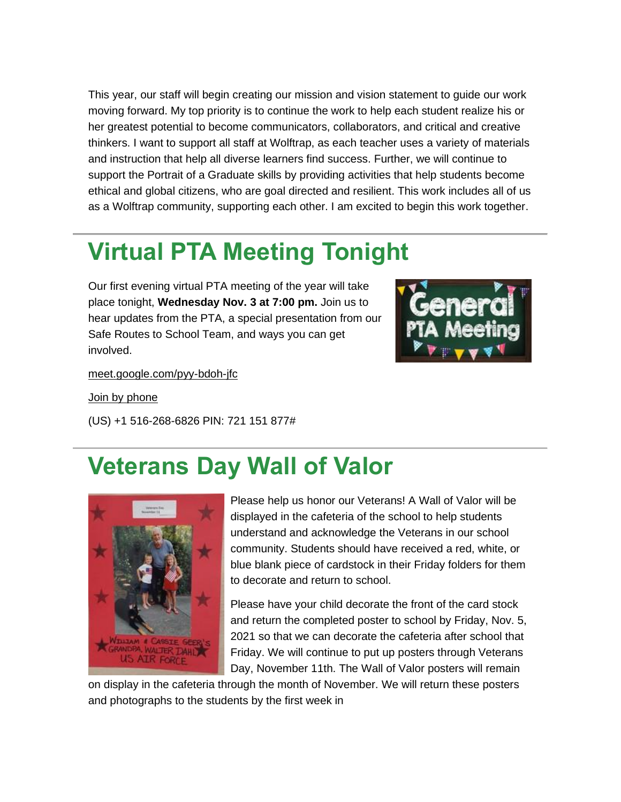This year, our staff will begin creating our mission and vision statement to guide our work moving forward. My top priority is to continue the work to help each student realize his or her greatest potential to become communicators, collaborators, and critical and creative thinkers. I want to support all staff at Wolftrap, as each teacher uses a variety of materials and instruction that help all diverse learners find success. Further, we will continue to support the Portrait of a Graduate skills by providing activities that help students become ethical and global citizens, who are goal directed and resilient. This work includes all of us as a Wolftrap community, supporting each other. I am excited to begin this work together.

### **Virtual PTA Meeting Tonight**

Our first evening virtual PTA meeting of the year will take place tonight, **Wednesday Nov. 3 at 7:00 pm.** Join us to hear updates from the PTA, a special presentation from our Safe Routes to School Team, and ways you can get involved.



[meet.google.com/pyy-bdoh-jfc](https://lnks.gd/l/eyJhbGciOiJIUzI1NiJ9.eyJidWxsZXRpbl9saW5rX2lkIjoxMDMsInVyaSI6ImJwMjpjbGljayIsImJ1bGxldGluX2lkIjoiMjAyMTExMDMuNDgzMTQ4OTEiLCJ1cmwiOiJodHRwOi8vbWVldC5nb29nbGUuY29tL3B5eS1iZG9oLWpmYz91dG1fY29udGVudD0mdXRtX21lZGl1bT1lbWFpbCZ1dG1fbmFtZT0mdXRtX3NvdXJjZT1nb3ZkZWxpdmVyeSZ1dG1fdGVybT0ifQ.kXMJKRi2uaU5XPRzOR71vcdQs770kHjViTbMyH-snp0/s/858222285/br/116983413909-l)

[Join by phone](tel:+1-516-268-6826)

(US) +1 516-268-6826 PIN: 721 151 877#

### **Veterans Day Wall of Valor**



Please help us honor our Veterans! A Wall of Valor will be displayed in the cafeteria of the school to help students understand and acknowledge the Veterans in our school community. Students should have received a red, white, or blue blank piece of cardstock in their Friday folders for them to decorate and return to school.

Please have your child decorate the front of the card stock and return the completed poster to school by Friday, Nov. 5, 2021 so that we can decorate the cafeteria after school that Friday. We will continue to put up posters through Veterans Day, November 11th. The Wall of Valor posters will remain

on display in the cafeteria through the month of November. We will return these posters and photographs to the students by the first week in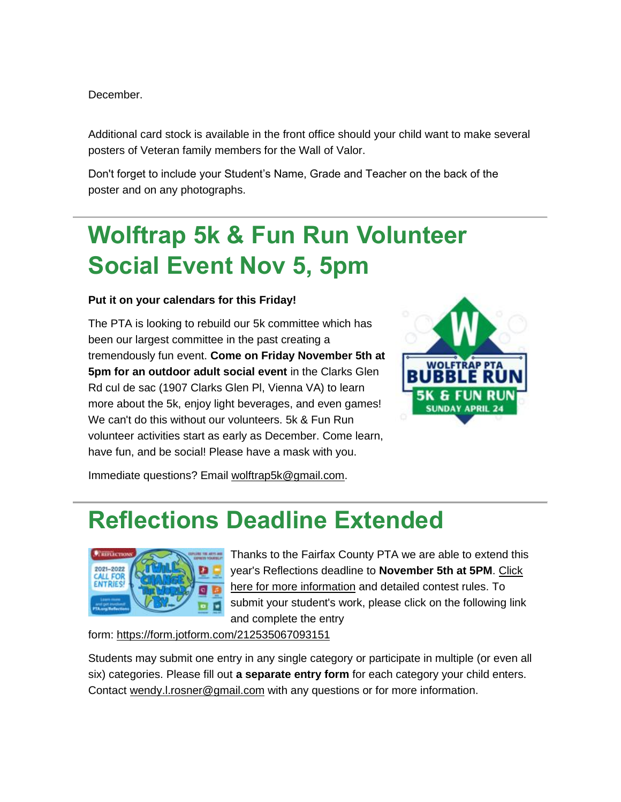December.

Additional card stock is available in the front office should your child want to make several posters of Veteran family members for the Wall of Valor.

Don't forget to include your Student's Name, Grade and Teacher on the back of the poster and on any photographs.

### **Wolftrap 5k & Fun Run Volunteer Social Event Nov 5, 5pm**

#### **Put it on your calendars for this Friday!**

The PTA is looking to rebuild our 5k committee which has been our largest committee in the past creating a tremendously fun event. **Come on Friday November 5th at 5pm for an outdoor adult social event** in the Clarks Glen Rd cul de sac (1907 Clarks Glen Pl, Vienna VA) to learn more about the 5k, enjoy light beverages, and even games! We can't do this without our volunteers. 5k & Fun Run volunteer activities start as early as December. Come learn, have fun, and be social! Please have a mask with you.



Immediate questions? Email [wolftrap5k@gmail.com.](mailto:wolftrap5k@gmail.com)

### **Reflections Deadline Extended**



Thanks to the Fairfax County PTA we are able to extend this year's Reflections deadline to **November 5th at 5PM**. [Click](https://lnks.gd/l/eyJhbGciOiJIUzI1NiJ9.eyJidWxsZXRpbl9saW5rX2lkIjoxMDQsInVyaSI6ImJwMjpjbGljayIsImJ1bGxldGluX2lkIjoiMjAyMTExMDMuNDgzMTQ4OTEiLCJ1cmwiOiJodHRwczovL2xua3MuZ2QvbC9leUpoYkdjaU9pSklVekkxTmlKOS5leUppZFd4c1pYUnBibDlzYVc1clgybGtJam94TWpJc0luVnlhU0k2SW1Kd01qcGpiR2xqYXlJc0ltSjFiR3hsZEdsdVgybGtJam9pTWpBeU1UQTVNRGN1TkRVMU9ESTNOVEVpTENKMWNtd2lPaUpvZEhSd2N6b3ZMM2R2YkdaMGNtRndjSFJoTG0xbGJXSmxjbk5vYVhCMGIyOXNhMmwwTG1OdmJTOWhjM05sZEhNdk1EQXlNekF2VW1WbWJHVmpkR2x2Ym5Ndk1qRXRNakpmYzNSMVpHVnVkQzF3WVdOclpYUXRkR1Z0Y0d4aGRHVmZjbVZtYkdWamRHbHZibk11Y0dSbVAzVjBiVjlqYjI1MFpXNTBQU1oxZEcxZmJXVmthWFZ0UFdWdFlXbHNKblYwYlY5dVlXMWxQU1oxZEcxZmMyOTFjbU5sUFdkdmRtUmxiR2wyWlhKNUpuVjBiVjkwWlhKdFBTSjkudlhCUFhmTWhCR1VobjN3dEVGbVFtZlRaeEdNWExUZDlOYXJ5dkdyVEJMVS9zLzc1NzEzNDg5Ni9ici8xMTE5ODM1MTgyMzYtbD91dG1fY29udGVudD0mdXRtX21lZGl1bT1lbWFpbCZ1dG1fbmFtZT0mdXRtX3NvdXJjZT1nb3ZkZWxpdmVyeSZ1dG1fdGVybT0ifQ.MyOCJRTz2HxCeDRMt-RyiwXbmSsIDe-hkQag_5rtsI0/s/858222285/br/116983413909-l)  [here for more information](https://lnks.gd/l/eyJhbGciOiJIUzI1NiJ9.eyJidWxsZXRpbl9saW5rX2lkIjoxMDQsInVyaSI6ImJwMjpjbGljayIsImJ1bGxldGluX2lkIjoiMjAyMTExMDMuNDgzMTQ4OTEiLCJ1cmwiOiJodHRwczovL2xua3MuZ2QvbC9leUpoYkdjaU9pSklVekkxTmlKOS5leUppZFd4c1pYUnBibDlzYVc1clgybGtJam94TWpJc0luVnlhU0k2SW1Kd01qcGpiR2xqYXlJc0ltSjFiR3hsZEdsdVgybGtJam9pTWpBeU1UQTVNRGN1TkRVMU9ESTNOVEVpTENKMWNtd2lPaUpvZEhSd2N6b3ZMM2R2YkdaMGNtRndjSFJoTG0xbGJXSmxjbk5vYVhCMGIyOXNhMmwwTG1OdmJTOWhjM05sZEhNdk1EQXlNekF2VW1WbWJHVmpkR2x2Ym5Ndk1qRXRNakpmYzNSMVpHVnVkQzF3WVdOclpYUXRkR1Z0Y0d4aGRHVmZjbVZtYkdWamRHbHZibk11Y0dSbVAzVjBiVjlqYjI1MFpXNTBQU1oxZEcxZmJXVmthWFZ0UFdWdFlXbHNKblYwYlY5dVlXMWxQU1oxZEcxZmMyOTFjbU5sUFdkdmRtUmxiR2wyWlhKNUpuVjBiVjkwWlhKdFBTSjkudlhCUFhmTWhCR1VobjN3dEVGbVFtZlRaeEdNWExUZDlOYXJ5dkdyVEJMVS9zLzc1NzEzNDg5Ni9ici8xMTE5ODM1MTgyMzYtbD91dG1fY29udGVudD0mdXRtX21lZGl1bT1lbWFpbCZ1dG1fbmFtZT0mdXRtX3NvdXJjZT1nb3ZkZWxpdmVyeSZ1dG1fdGVybT0ifQ.MyOCJRTz2HxCeDRMt-RyiwXbmSsIDe-hkQag_5rtsI0/s/858222285/br/116983413909-l) and detailed contest rules. To submit your student's work, please click on the following link and complete the entry

form: [https://form.jotform.com/212535067093151](https://lnks.gd/l/eyJhbGciOiJIUzI1NiJ9.eyJidWxsZXRpbl9saW5rX2lkIjoxMDUsInVyaSI6ImJwMjpjbGljayIsImJ1bGxldGluX2lkIjoiMjAyMTExMDMuNDgzMTQ4OTEiLCJ1cmwiOiJodHRwczovL2Zvcm0uam90Zm9ybS5jb20vMjEyNTM1MDY3MDkzMTUxP3V0bV9jb250ZW50PSZ1dG1fbWVkaXVtPWVtYWlsJnV0bV9uYW1lPSZ1dG1fc291cmNlPWdvdmRlbGl2ZXJ5JnV0bV90ZXJtPSJ9.gZYu7yx1BuZfLdOFd_6yfeTfItAjbFSgC9R6MOgJMOM/s/858222285/br/116983413909-l)

Students may submit one entry in any single category or participate in multiple (or even all six) categories. Please fill out **a separate entry form** for each category your child enters. Contact [wendy.l.rosner@gmail.com](mailto:wendy.l.rosner@gmail.com) with any questions or for more information.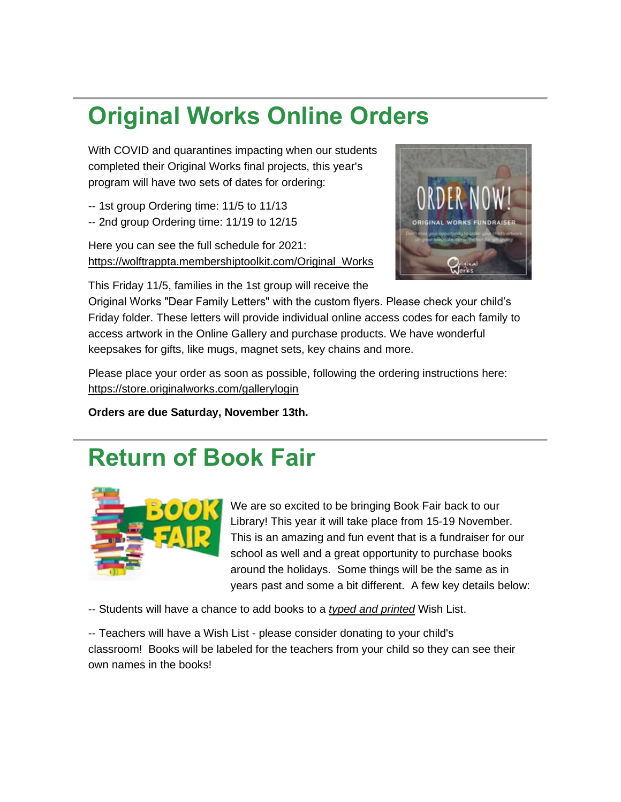## **Original Works Online Orders**

With COVID and quarantines impacting when our students completed their Original Works final projects, this year's program will have two sets of dates for ordering:

- -- 1st group Ordering time: 11/5 to 11/13
- -- 2nd group Ordering time: 11/19 to 12/15

Here you can see the full schedule for 2021: [https://wolftrappta.membershiptoolkit.com/Original\\_Works](https://lnks.gd/l/eyJhbGciOiJIUzI1NiJ9.eyJidWxsZXRpbl9saW5rX2lkIjoxMDYsInVyaSI6ImJwMjpjbGljayIsImJ1bGxldGluX2lkIjoiMjAyMTExMDMuNDgzMTQ4OTEiLCJ1cmwiOiJodHRwczovL3dvbGZ0cmFwcHRhLm1lbWJlcnNoaXB0b29sa2l0LmNvbS9PcmlnaW5hbF9Xb3Jrcz91dG1fY29udGVudD0mdXRtX21lZGl1bT1lbWFpbCZ1dG1fbmFtZT0mdXRtX3NvdXJjZT1nb3ZkZWxpdmVyeSZ1dG1fdGVybT0ifQ.sUDH27tTQ3eoQDK2TTNt0RW4JSYBSKOy6rf1iaIL9cw/s/858222285/br/116983413909-l)



This Friday 11/5, families in the 1st group will receive the

Original Works "Dear Family Letters" with the custom flyers. Please check your child's Friday folder. These letters will provide individual online access codes for each family to access artwork in the Online Gallery and purchase products. We have wonderful keepsakes for gifts, like mugs, magnet sets, key chains and more.

Please place your order as soon as possible, following the ordering instructions here: [https://store.originalworks.com/gallerylogin](https://lnks.gd/l/eyJhbGciOiJIUzI1NiJ9.eyJidWxsZXRpbl9saW5rX2lkIjoxMDcsInVyaSI6ImJwMjpjbGljayIsImJ1bGxldGluX2lkIjoiMjAyMTExMDMuNDgzMTQ4OTEiLCJ1cmwiOiJodHRwczovL3N0b3JlLm9yaWdpbmFsd29ya3MuY29tL2dhbGxlcnlsb2dpbj91dG1fY29udGVudD0mdXRtX21lZGl1bT1lbWFpbCZ1dG1fbmFtZT0mdXRtX3NvdXJjZT1nb3ZkZWxpdmVyeSZ1dG1fdGVybT0ifQ.dQ2qF4cb6Iny-S0MiLGXqUHI60aAfZGMCu1lChcp60M/s/858222285/br/116983413909-l)

**Orders are due Saturday, November 13th.**

### **Return of Book Fair**



We are so excited to be bringing Book Fair back to our Library! This year it will take place from 15-19 November. This is an amazing and fun event that is a fundraiser for our school as well and a great opportunity to purchase books around the holidays. Some things will be the same as in years past and some a bit different. A few key details below:

-- Students will have a chance to add books to a *typed and printed* Wish List.

-- Teachers will have a Wish List - please consider donating to your child's classroom! Books will be labeled for the teachers from your child so they can see their own names in the books!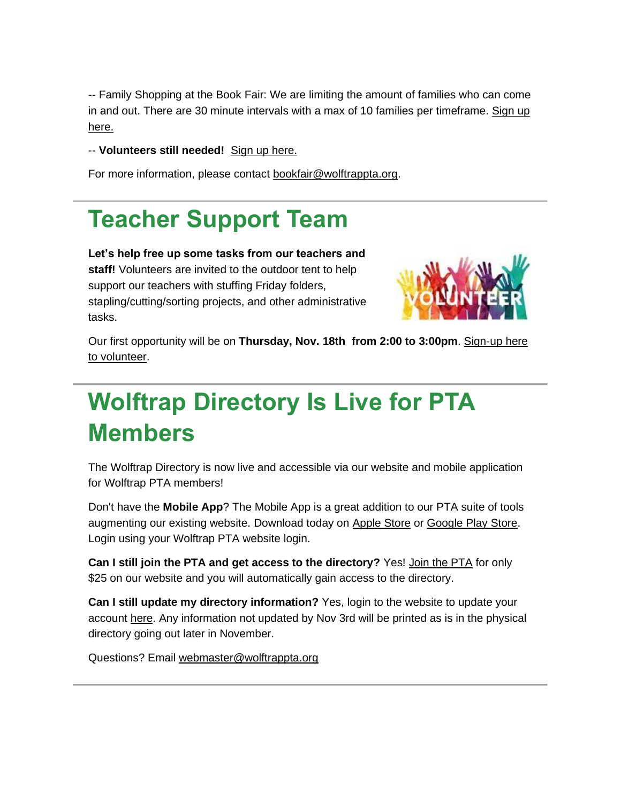-- Family Shopping at the Book Fair: We are limiting the amount of families who can come in and out. There are 30 minute intervals with a max of 10 families per timeframe. [Sign up](https://lnks.gd/l/eyJhbGciOiJIUzI1NiJ9.eyJidWxsZXRpbl9saW5rX2lkIjoxMDksInVyaSI6ImJwMjpjbGljayIsImJ1bGxldGluX2lkIjoiMjAyMTExMDMuNDgzMTQ4OTEiLCJ1cmwiOiJodHRwczovL3d3dy5zaWdudXBnZW5pdXMuY29tL2dvLzIwZjA5NDhhOWFiMjNhYTgtd29sZnRyYXAxP3V0bV9jb250ZW50PSZ1dG1fbWVkaXVtPWVtYWlsJnV0bV9uYW1lPSZ1dG1fc291cmNlPWdvdmRlbGl2ZXJ5JnV0bV90ZXJtPSJ9.pe4Cj11ijJ1jW9EFI29__3rQMo99Q2xzWJtzhiWr4Ao/s/858222285/br/116983413909-l)  [here.](https://lnks.gd/l/eyJhbGciOiJIUzI1NiJ9.eyJidWxsZXRpbl9saW5rX2lkIjoxMDksInVyaSI6ImJwMjpjbGljayIsImJ1bGxldGluX2lkIjoiMjAyMTExMDMuNDgzMTQ4OTEiLCJ1cmwiOiJodHRwczovL3d3dy5zaWdudXBnZW5pdXMuY29tL2dvLzIwZjA5NDhhOWFiMjNhYTgtd29sZnRyYXAxP3V0bV9jb250ZW50PSZ1dG1fbWVkaXVtPWVtYWlsJnV0bV9uYW1lPSZ1dG1fc291cmNlPWdvdmRlbGl2ZXJ5JnV0bV90ZXJtPSJ9.pe4Cj11ijJ1jW9EFI29__3rQMo99Q2xzWJtzhiWr4Ao/s/858222285/br/116983413909-l)

-- Volunteers still needed! [Sign up here.](https://lnks.gd/l/eyJhbGciOiJIUzI1NiJ9.eyJidWxsZXRpbl9saW5rX2lkIjoxMTAsInVyaSI6ImJwMjpjbGljayIsImJ1bGxldGluX2lkIjoiMjAyMTExMDMuNDgzMTQ4OTEiLCJ1cmwiOiJodHRwczovL3d3dy5zaWdudXBnZW5pdXMuY29tL2dvLzEwYzA0NDlhZmFlMjNhNzUtMjAxOT91dG1fY29udGVudD0mdXRtX21lZGl1bT1lbWFpbCZ1dG1fbmFtZT0mdXRtX3NvdXJjZT1nb3ZkZWxpdmVyeSZ1dG1fdGVybT0ifQ.UwKbOGBqoaIDDBPts3gGTRjj8GailDw786fLaBJfieY/s/858222285/br/116983413909-l)

For more information, please contact [bookfair@wolftrappta.org.](mailto:bookfair@wolftrappta.org)

## **Teacher Support Team**

**Let's help free up some tasks from our teachers and staff!** Volunteers are invited to the outdoor tent to help support our teachers with stuffing Friday folders, stapling/cutting/sorting projects, and other administrative tasks.



Our first opportunity will be on **Thursday, Nov. 18th from 2:00 to 3:00pm**. [Sign-up here](https://lnks.gd/l/eyJhbGciOiJIUzI1NiJ9.eyJidWxsZXRpbl9saW5rX2lkIjoxMTEsInVyaSI6ImJwMjpjbGljayIsImJ1bGxldGluX2lkIjoiMjAyMTExMDMuNDgzMTQ4OTEiLCJ1cmwiOiJodHRwczovL3d3dy5zaWdudXBnZW5pdXMuY29tL2dvLzEwQzA4NENBQUFBMjJBNkZGMi10ZWFjaGVyP3V0bV9jb250ZW50PSZ1dG1fbWVkaXVtPWVtYWlsJnV0bV9uYW1lPSZ1dG1fc291cmNlPWdvdmRlbGl2ZXJ5JnV0bV90ZXJtPSJ9.PAF37CEhzHnqHZ_qPcg3d-OWbpaTXk4d1FdOd6nYJGw/s/858222285/br/116983413909-l)  [to volunteer.](https://lnks.gd/l/eyJhbGciOiJIUzI1NiJ9.eyJidWxsZXRpbl9saW5rX2lkIjoxMTEsInVyaSI6ImJwMjpjbGljayIsImJ1bGxldGluX2lkIjoiMjAyMTExMDMuNDgzMTQ4OTEiLCJ1cmwiOiJodHRwczovL3d3dy5zaWdudXBnZW5pdXMuY29tL2dvLzEwQzA4NENBQUFBMjJBNkZGMi10ZWFjaGVyP3V0bV9jb250ZW50PSZ1dG1fbWVkaXVtPWVtYWlsJnV0bV9uYW1lPSZ1dG1fc291cmNlPWdvdmRlbGl2ZXJ5JnV0bV90ZXJtPSJ9.PAF37CEhzHnqHZ_qPcg3d-OWbpaTXk4d1FdOd6nYJGw/s/858222285/br/116983413909-l)

## **Wolftrap Directory Is Live for PTA Members**

The Wolftrap Directory is now live and accessible via our website and mobile application for Wolftrap PTA members!

Don't have the **Mobile App**? The Mobile App is a great addition to our PTA suite of tools augmenting our existing website. Download today on [Apple Store](https://lnks.gd/l/eyJhbGciOiJIUzI1NiJ9.eyJidWxsZXRpbl9saW5rX2lkIjoxMTIsInVyaSI6ImJwMjpjbGljayIsImJ1bGxldGluX2lkIjoiMjAyMTExMDMuNDgzMTQ4OTEiLCJ1cmwiOiJodHRwczovL2FwcHMuYXBwbGUuY29tL3VzL2FwcC9tZW1iZXJzaGlwLXRvb2xraXQvaWQ5MTIxNjkyNzY_dXRtX2NvbnRlbnQ9JnV0bV9tZWRpdW09ZW1haWwmdXRtX25hbWU9JnV0bV9zb3VyY2U9Z292ZGVsaXZlcnkmdXRtX3Rlcm09In0.eTPQfmQBnlfsvW7wlnczSUs-1u4pWUHUooGiMTk826s/s/858222285/br/116983413909-l) or [Google Play](https://lnks.gd/l/eyJhbGciOiJIUzI1NiJ9.eyJidWxsZXRpbl9saW5rX2lkIjoxMTMsInVyaSI6ImJwMjpjbGljayIsImJ1bGxldGluX2lkIjoiMjAyMTExMDMuNDgzMTQ4OTEiLCJ1cmwiOiJodHRwczovL3BsYXkuZ29vZ2xlLmNvbS9zdG9yZS9hcHBzL2RldGFpbHM_aWQ9Y29tLm1lbWJlcnNoaXB0b29sa2l0Lm1vYmlsZWFwcCZ1dG1fY29udGVudD0mdXRtX21lZGl1bT1lbWFpbCZ1dG1fbmFtZT0mdXRtX3NvdXJjZT1nb3ZkZWxpdmVyeSZ1dG1fdGVybT0ifQ.MCxcSNBU6rK73BzWaF3JM7UpxBGgpquFrMGMnFhkNDM/s/858222285/br/116983413909-l) Store. Login using your Wolftrap PTA website login.

**Can I still join the PTA and get access to the directory?** Yes! [Join the PTA](https://lnks.gd/l/eyJhbGciOiJIUzI1NiJ9.eyJidWxsZXRpbl9saW5rX2lkIjoxMTQsInVyaSI6ImJwMjpjbGljayIsImJ1bGxldGluX2lkIjoiMjAyMTExMDMuNDgzMTQ4OTEiLCJ1cmwiOiJodHRwczovL3dvbGZ0cmFwcHRhLm1lbWJlcnNoaXB0b29sa2l0LmNvbS9mb3JtL20vMTQ2ODEzP3V0bV9jb250ZW50PSZ1dG1fbWVkaXVtPWVtYWlsJnV0bV9uYW1lPSZ1dG1fc291cmNlPWdvdmRlbGl2ZXJ5JnV0bV90ZXJtPSJ9.7JBx_lKmt0gva7ZiwBqqcyEpncZ_LeIVWwDoqrJTcNs/s/858222285/br/116983413909-l) for only \$25 on our website and you will automatically gain access to the directory.

**Can I still update my directory information?** Yes, login to the website to update your account [here.](https://lnks.gd/l/eyJhbGciOiJIUzI1NiJ9.eyJidWxsZXRpbl9saW5rX2lkIjoxMTUsInVyaSI6ImJwMjpjbGljayIsImJ1bGxldGluX2lkIjoiMjAyMTExMDMuNDgzMTQ4OTEiLCJ1cmwiOiJodHRwczovL3dvbGZ0cmFwcHRhLm1lbWJlcnNoaXB0b29sa2l0LmNvbS9PcGVuX0Zvcm1zP3V0bV9jb250ZW50PSZ1dG1fbWVkaXVtPWVtYWlsJnV0bV9uYW1lPSZ1dG1fc291cmNlPWdvdmRlbGl2ZXJ5JnV0bV90ZXJtPSJ9.5LFauISL5B_gWVxYtjiLRicQ5XRKWKntqudF4CRLDQ4/s/858222285/br/116983413909-l) Any information not updated by Nov 3rd will be printed as is in the physical directory going out later in November.

Questions? Email [webmaster@wolftrappta.org](mailto:webmaster@wolftrappta.org)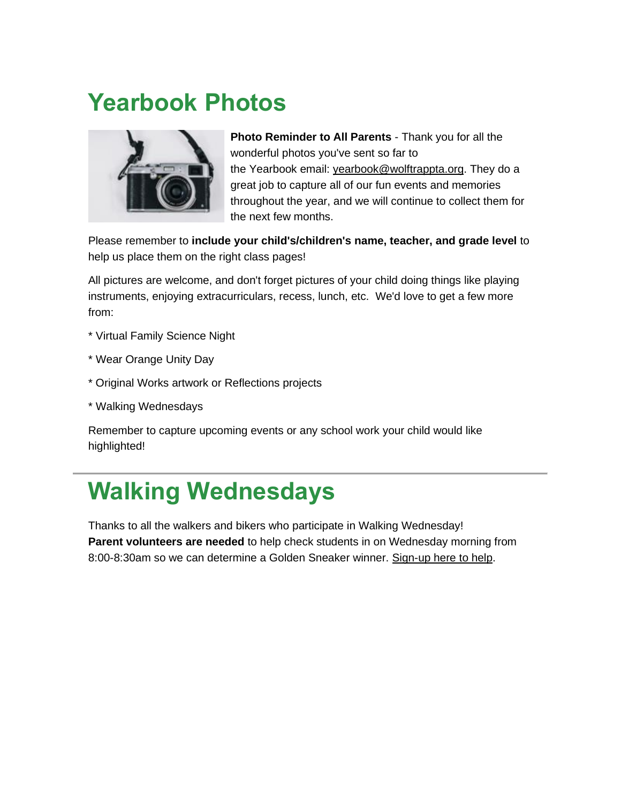### **Yearbook Photos**



**Photo Reminder to All Parents** - Thank you for all the wonderful photos you've sent so far to the Yearbook email: [yearbook@wolftrappta.org.](mailto:yearbook@wolftrappta.org) They do a great job to capture all of our fun events and memories throughout the year, and we will continue to collect them for the next few months.

Please remember to **include your child's/children's name, teacher, and grade level** to help us place them on the right class pages!

All pictures are welcome, and don't forget pictures of your child doing things like playing instruments, enjoying extracurriculars, recess, lunch, etc. We'd love to get a few more from:

- \* Virtual Family Science Night
- \* Wear Orange Unity Day
- \* Original Works artwork or Reflections projects
- \* Walking Wednesdays

Remember to capture upcoming events or any school work your child would like highlighted!

### **Walking Wednesdays**

Thanks to all the walkers and bikers who participate in Walking Wednesday! **Parent volunteers are needed** to help check students in on Wednesday morning from 8:00-8:30am so we can determine a Golden Sneaker winner. [Sign-up here to help.](https://lnks.gd/l/eyJhbGciOiJIUzI1NiJ9.eyJidWxsZXRpbl9saW5rX2lkIjoxMTYsInVyaSI6ImJwMjpjbGljayIsImJ1bGxldGluX2lkIjoiMjAyMTExMDMuNDgzMTQ4OTEiLCJ1cmwiOiJodHRwczovL3d3dy5zaWdudXBnZW5pdXMuY29tL2dvLzIwZjBjNGFhZWE5MmNhMWZlMy13YWxraW5nP3V0bV9jb250ZW50PSZ1dG1fbWVkaXVtPWVtYWlsJnV0bV9uYW1lPSZ1dG1fc291cmNlPWdvdmRlbGl2ZXJ5JnV0bV90ZXJtPSJ9.TMUiw7NrV8lQPxhljuYXG_RmVDVmDFa6G9ObgULg9P8/s/858222285/br/116983413909-l)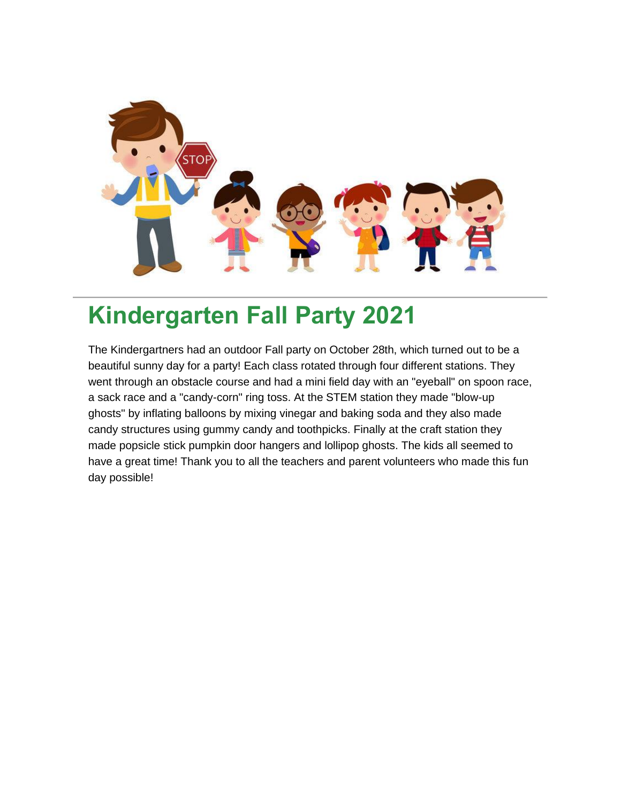

### **Kindergarten Fall Party 2021**

The Kindergartners had an outdoor Fall party on October 28th, which turned out to be a beautiful sunny day for a party! Each class rotated through four different stations. They went through an obstacle course and had a mini field day with an "eyeball" on spoon race, a sack race and a "candy-corn" ring toss. At the STEM station they made "blow-up ghosts" by inflating balloons by mixing vinegar and baking soda and they also made candy structures using gummy candy and toothpicks. Finally at the craft station they made popsicle stick pumpkin door hangers and lollipop ghosts. The kids all seemed to have a great time! Thank you to all the teachers and parent volunteers who made this fun day possible!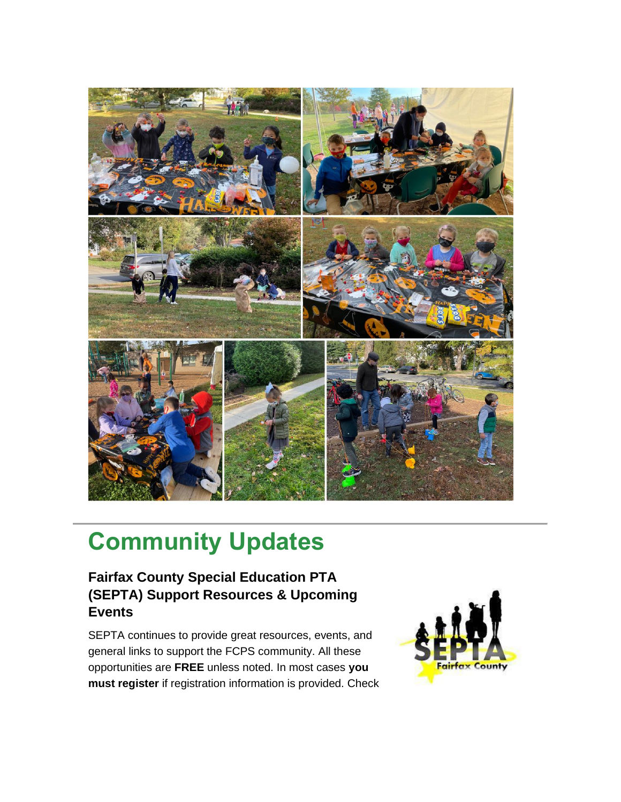

### **Community Updates**

### **Fairfax County Special Education PTA (SEPTA) Support Resources & Upcoming Events**

SEPTA continues to provide great resources, events, and general links to support the FCPS community. All these opportunities are **FREE** unless noted. In most cases **you must register** if registration information is provided. Check